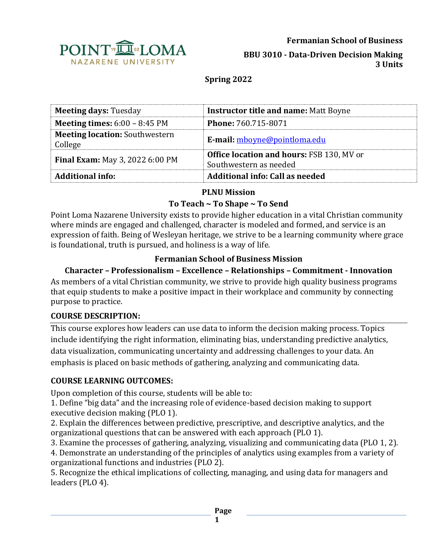

**BBU 3010 - Data-Driven Decision Making 3 Units**

### **Spring 2022**

| <b>Meeting days: Tuesday</b>                     | <b>Instructor title and name: Matt Boyne</b>                               |  |
|--------------------------------------------------|----------------------------------------------------------------------------|--|
| <b>Meeting times:</b> $6:00 - 8:45 \text{ PM}$   | <b>Phone: 760.715-8071</b>                                                 |  |
| <b>Meeting location: Southwestern</b><br>College | E-mail: mboyne@pointloma.edu                                               |  |
| <b>Final Exam:</b> May 3, 2022 6:00 PM           | <b>Office location and hours: FSB 130, MV or</b><br>Southwestern as needed |  |
| <b>Additional info:</b>                          | Additional info: Call as needed                                            |  |

### **PLNU Mission**

### **To Teach ~ To Shape ~ To Send**

Point Loma Nazarene University exists to provide higher education in a vital Christian community where minds are engaged and challenged, character is modeled and formed, and service is an expression of faith. Being of Wesleyan heritage, we strive to be a learning community where grace is foundational, truth is pursued, and holiness is a way of life.

### **Fermanian School of Business Mission**

### **Character – Professionalism – Excellence – Relationships – Commitment - Innovation**

As members of a vital Christian community, we strive to provide high quality business programs that equip students to make a positive impact in their workplace and community by connecting purpose to practice.

#### **COURSE DESCRIPTION:**

This course explores how leaders can use data to inform the decision making process. Topics include identifying the right information, eliminating bias, understanding predictive analytics, data visualization, communicating uncertainty and addressing challenges to your data. An emphasis is placed on basic methods of gathering, analyzing and communicating data.

### **COURSE LEARNING OUTCOMES:**

Upon completion of this course, students will be able to:

1. Define "big data" and the increasing role of evidence-based decision making to support executive decision making (PLO 1).

2. Explain the differences between predictive, prescriptive, and descriptive analytics, and the organizational questions that can be answered with each approach (PLO 1).

3. Examine the processes of gathering, analyzing, visualizing and communicating data (PLO 1, 2).

4. Demonstrate an understanding of the principles of analytics using examples from a variety of organizational functions and industries (PLO 2).

5. Recognize the ethical implications of collecting, managing, and using data for managers and leaders (PLO 4).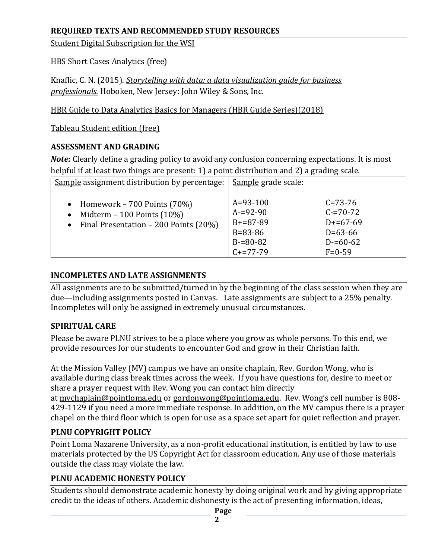### **REQUIRED TEXTS AND RECOMMENDED STUDY RESOURCES**

[Student Digital Subscription for the WSJ](https://r.wsj.com/PROFq9ft)

[HBS Short Cases Analytics](https://digital.hbs.edu/platform-digit/?s=Analytics) (free)

Knaflic, C. N. (2015). *[Storytelling with data: a data visualization guide for business](https://www.amazon.com/gp/product/1119002257/ref=as_li_qf_asin_il_tl?ie=UTF8&tag=storytellingwithdata-20&creative=9325&linkCode=as2&creativeASIN=1119002257&linkId=c9a5d9689e0665c8098acb1bd01b51e1)  [professionals.](https://www.amazon.com/gp/product/1119002257/ref=as_li_qf_asin_il_tl?ie=UTF8&tag=storytellingwithdata-20&creative=9325&linkCode=as2&creativeASIN=1119002257&linkId=c9a5d9689e0665c8098acb1bd01b51e1)* Hoboken, New Jersey: John Wiley & Sons, Inc.

[HBR Guide to Data Analytics Basics for Managers \(HBR Guide Series\)\(2018\)](/Users/mboyne/Library/Containers/com.apple.mail/Data/Library/Mail%20Downloads/3E74129A-186B-49DB-8FA6-C33DD63B8BF8/HBR%20Guide%20to%20Data%20Analytics%20Basics%20for%20Managers%20(HBR%20Guide%20Series))

[Tableau Student edition \(free\)](https://www.tableau.com/academic/digital-data-skills?utm_campaign_id=2017059&utm_campaign=Prospecting-ACAD-ALL-ALL-ALL-ALL&utm_medium=Paid+Search&utm_source=Google+Search&utm_language=EN&utm_country=USCA&kw=tableau%20student%20edition&adgroup=CTX-Brand-Student-E&adused=RSA&matchtype=e&placement=&gclid=Cj0KCQiA_c-OBhDFARIsAIFg3ezmC6eP00lcHxaZ2hHl7Clyqi-qOmICbpLF4KMhaGjkI53b4bONCZwaAppBEALw_wcB&gclsrc=aw.ds)

### **ASSESSMENT AND GRADING**

*Note:* Clearly define a grading policy to avoid any confusion concerning expectations. It is most helpful if at least two things are present: 1) a point distribution and 2) a grading scale.

| Sample assignment distribution by percentage:                                                                              | Sample grade scale:                                                                       |                                                                                          |
|----------------------------------------------------------------------------------------------------------------------------|-------------------------------------------------------------------------------------------|------------------------------------------------------------------------------------------|
| • Homework – 700 Points $(70%)$<br>Midterm $-100$ Points $(10\%)$<br>$\bullet$<br>• Final Presentation $-200$ Points (20%) | $A = 93 - 100$<br>$A = 92 - 90$<br>$B+=87-89$<br>$B = 83 - 86$<br>$B=80-82$<br>$C+=77-79$ | $C = 73 - 76$<br>$C = 70 - 72$<br>$D+=67-69$<br>$D=63-66$<br>$D = 60 - 62$<br>$F = 0.59$ |

### **INCOMPLETES AND LATE ASSIGNMENTS**

All assignments are to be submitted/turned in by the beginning of the class session when they are due—including assignments posted in Canvas. Late assignments are subject to a 25% penalty. Incompletes will only be assigned in extremely unusual circumstances.

## **SPIRITUAL CARE**

Please be aware PLNU strives to be a place where you grow as whole persons. To this end, we provide resources for our students to encounter God and grow in their Christian faith.

At the Mission Valley (MV) campus we have an onsite chaplain, Rev. Gordon Wong, who is available during class break times across the week. If you have questions for, desire to meet or share a prayer request with Rev. Wong you can contact him directly at [mvchaplain@pointloma.edu](mailto:mvchaplain@pointloma.edu) or [gordonwong@pointloma.edu.](mailto:gordonwong@pointloma.edu) Rev. Wong's cell number is 808- 429-1129 if you need a more immediate response. In addition, on the MV campus there is a prayer chapel on the third floor which is open for use as a space set apart for quiet reflection and prayer.

## **PLNU COPYRIGHT POLICY**

Point Loma Nazarene University, as a non-profit educational institution, is entitled by law to use materials protected by the US Copyright Act for classroom education. Any use of those materials outside the class may violate the law.

## **PLNU ACADEMIC HONESTY POLICY**

Students should demonstrate academic honesty by doing original work and by giving appropriate credit to the ideas of others. Academic dishonesty is the act of presenting information, ideas,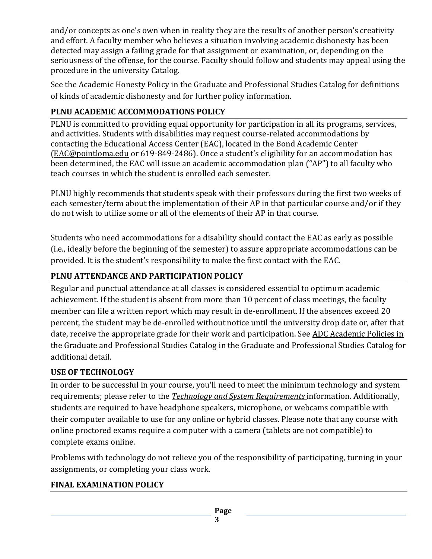and/or concepts as one's own when in reality they are the results of another person's creativity and effort. A faculty member who believes a situation involving academic dishonesty has been detected may assign a failing grade for that assignment or examination, or, depending on the seriousness of the offense, for the course. Faculty should follow and students may appeal using the procedure in the university Catalog.

See the [Academic Honesty Policy](https://catalog.pointloma.edu/content.php?catoid=54&navoid=3048#Academic_Honesty) in the Graduate and Professional Studies Catalog for definitions of kinds of academic dishonesty and for further policy information.

## **PLNU ACADEMIC ACCOMMODATIONS POLICY**

PLNU is committed to providing equal opportunity for participation in all its programs, services, and activities. Students with disabilities may request course-related accommodations by contacting the Educational Access Center (EAC), located in the Bond Academic Center [\(EAC@pointloma.edu](mailto:EAC@pointloma.edu) or 619-849-2486). Once a student's eligibility for an accommodation has been determined, the EAC will issue an academic accommodation plan ("AP") to all faculty who teach courses in which the student is enrolled each semester.

PLNU highly recommends that students speak with their professors during the first two weeks of each semester/term about the implementation of their AP in that particular course and/or if they do not wish to utilize some or all of the elements of their AP in that course.

Students who need accommodations for a disability should contact the EAC as early as possible (i.e., ideally before the beginning of the semester) to assure appropriate accommodations can be provided. It is the student's responsibility to make the first contact with the EAC.

# **PLNU ATTENDANCE AND PARTICIPATION POLICY**

Regular and punctual attendance at all classes is considered essential to optimum academic achievement. If the student is absent from more than 10 percent of class meetings, the faculty member can file a written report which may result in de-enrollment. If the absences exceed 20 percent, the student may be de-enrolled without notice until the university drop date or, after that date, receive the appropriate grade for their work and participation. See ADC Academic Policies in [the Graduate and Professional Studies Catalog](https://catalog.pointloma.edu/content.php?catoid=54&navoid=3033#acadhonesty) in the Graduate and Professional Studies Catalog for additional detail.

# **USE OF TECHNOLOGY**

In order to be successful in your course, you'll need to meet the minimum technology and system requirements; please refer to the *[Technology and System Requirements](https://help.pointloma.edu/TDClient/1808/Portal/KB/ArticleDet?ID=108349)* information. Additionally, students are required to have headphone speakers, microphone, or webcams compatible with their computer available to use for any online or hybrid classes. Please note that any course with online proctored exams require a computer with a camera (tablets are not compatible) to complete exams online.

Problems with technology do not relieve you of the responsibility of participating, turning in your assignments, or completing your class work.

# **FINAL EXAMINATION POLICY**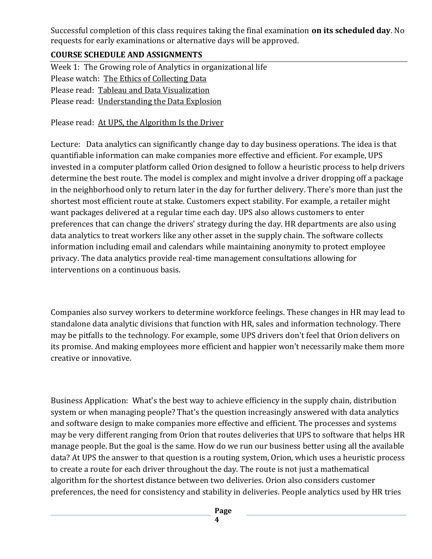Successful completion of this class requires taking the final examination **on its scheduled day**. No requests for early examinations or alternative days will be approved.

### **COURSE SCHEDULE AND ASSIGNMENTS**

Week 1: The Growing role of Analytics in organizational life Please watch: [The Ethics of Collecting Data](https://www.youtube.com/watch?v=8JLzs_xVKxY) Please read: [Tableau and Data Visualization](https://www.tableau.com/learn/articles/data-visualization) Please read: [Understanding the Data Explosion](https://www.wsj.com/articles/how-to-understand-the-data-explosion-11638979214)

Please read: [At UPS, the Algorithm Is the Driver](https://www.wsj.com/articles/at-ups-the-algorithm-is-the-driver-1424136536)

Lecture: Data analytics can significantly change day to day business operations. The idea is that quantifiable information can make companies more effective and efficient. For example, UPS invested in a computer platform called Orion designed to follow a heuristic process to help drivers determine the best route. The model is complex and might involve a driver dropping off a package in the neighborhood only to return later in the day for further delivery. There's more than just the shortest most efficient route at stake. Customers expect stability. For example, a retailer might want packages delivered at a regular time each day. UPS also allows customers to enter preferences that can change the drivers' strategy during the day. HR departments are also using data analytics to treat workers like any other asset in the supply chain. The software collects information including email and calendars while maintaining anonymity to protect employee privacy. The data analytics provide real-time management consultations allowing for interventions on a continuous basis.

Companies also survey workers to determine workforce feelings. These changes in HR may lead to standalone data analytic divisions that function with HR, sales and information technology. There may be pitfalls to the technology. For example, some UPS drivers don't feel that Orion delivers on its promise. And making employees more efficient and happier won't necessarily make them more creative or innovative.

Business Application: What's the best way to achieve efficiency in the supply chain, distribution system or when managing people? That's the question increasingly answered with data analytics and software design to make companies more effective and efficient. The processes and systems may be very different ranging from Orion that routes deliveries that UPS to software that helps HR manage people. But the goal is the same. How do we run our business better using all the available data? At UPS the answer to that question is a routing system, Orion, which uses a heuristic process to create a route for each driver throughout the day. The route is not just a mathematical algorithm for the shortest distance between two deliveries. Orion also considers customer preferences, the need for consistency and stability in deliveries. People analytics used by HR tries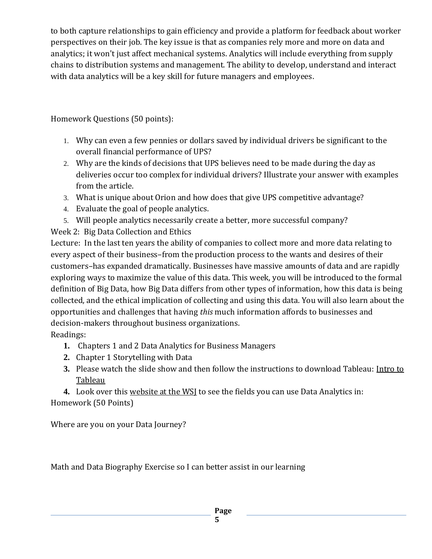to both capture relationships to gain efficiency and provide a platform for feedback about worker perspectives on their job. The key issue is that as companies rely more and more on data and analytics; it won't just affect mechanical systems. Analytics will include everything from supply chains to distribution systems and management. The ability to develop, understand and interact with data analytics will be a key skill for future managers and employees.

Homework Questions (50 points):

- 1. Why can even a few pennies or dollars saved by individual drivers be significant to the overall financial performance of UPS?
- 2. Why are the kinds of decisions that UPS believes need to be made during the day as deliveries occur too complex for individual drivers? Illustrate your answer with examples from the article.
- 3. What is unique about Orion and how does that give UPS competitive advantage?
- 4. Evaluate the goal of people analytics.
- 5. Will people analytics necessarily create a better, more successful company?

Week 2: Big Data Collection and Ethics

Lecture: In the last ten years the ability of companies to collect more and more data relating to every aspect of their business–from the production process to the wants and desires of their customers–has expanded dramatically. Businesses have massive amounts of data and are rapidly exploring ways to maximize the value of this data. This week, you will be introduced to the formal definition of Big Data, how Big Data differs from other types of information, how this data is being collected, and the ethical implication of collecting and using this data. You will also learn about the opportunities and challenges that having *this* much information affords to businesses and decision-makers throughout business organizations.

Readings:

- **1.** Chapters 1 and 2 Data Analytics for Business Managers
- **2.** Chapter 1 Storytelling with Data
- **3.** Please watch the slide show and then follow the instructions to download Tableau: [Intro to](https://www.tableau.com/university-students)  **[Tableau](https://www.tableau.com/university-students)**

**4.** Look over this [website at the WSJ](https://partners.wsj.com/aws/data-and-analytics/) to see the fields you can use Data Analytics in: Homework (50 Points)

Where are you on your Data Journey?

Math and Data Biography Exercise so I can better assist in our learning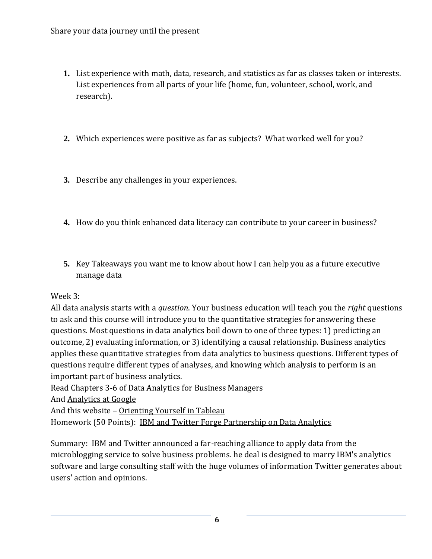- **1.** List experience with math, data, research, and statistics as far as classes taken or interests. List experiences from all parts of your life (home, fun, volunteer, school, work, and research).
- **2.** Which experiences were positive as far as subjects? What worked well for you?
- **3.** Describe any challenges in your experiences.
- **4.** How do you think enhanced data literacy can contribute to your career in business?
- **5.** Key Takeaways you want me to know about how I can help you as a future executive manage data

### Week 3:

All data analysis starts with a *question*. Your business education will teach you the *right* questions to ask and this course will introduce you to the quantitative strategies for answering these questions. Most questions in data analytics boil down to one of three types: 1) predicting an outcome, 2) evaluating information, or 3) identifying a causal relationship. Business analytics applies these quantitative strategies from data analytics to business questions. Different types of questions require different types of analyses, and knowing which analysis to perform is an important part of business analytics.

Read Chapters 3-6 of Data Analytics for Business Managers

And [Analytics at Google](https://www.smartdatacollective.com/analytics-google-great-example-data-driven-decision-making/)

And this website - [Orienting Yourself in Tableau](https://www.tableau.com/learn/get-started/creator)

Homework (50 Points): [IBM and Twitter Forge Partnership on Data Analytics](https://www.wsj.com/articles/ibm-and-twitter-forge-partnership-on-data-analytics-1414601963)

Summary: IBM and Twitter announced a far-reaching alliance to apply data from the microblogging service to solve business problems. he deal is designed to marry IBM's analytics software and large consulting staff with the huge volumes of information Twitter generates about users' action and opinions.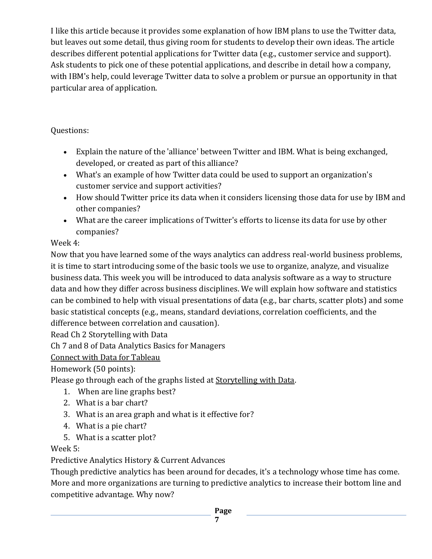I like this article because it provides some explanation of how IBM plans to use the Twitter data, but leaves out some detail, thus giving room for students to develop their own ideas. The article describes different potential applications for Twitter data (e.g., customer service and support). Ask students to pick one of these potential applications, and describe in detail how a company, with IBM's help, could leverage Twitter data to solve a problem or pursue an opportunity in that particular area of application.

Questions:

- Explain the nature of the 'alliance' between Twitter and IBM. What is being exchanged, developed, or created as part of this alliance?
- What's an example of how Twitter data could be used to support an organization's customer service and support activities?
- How should Twitter price its data when it considers licensing those data for use by IBM and other companies?
- What are the career implications of Twitter's efforts to license its data for use by other companies?

# Week 4:

Now that you have learned some of the ways analytics can address real-world business problems, it is time to start introducing some of the basic tools we use to organize, analyze, and visualize business data. This week you will be introduced to data analysis software as a way to structure data and how they differ across business disciplines. We will explain how software and statistics can be combined to help with visual presentations of data (e.g., bar charts, scatter plots) and some basic statistical concepts (e.g., means, standard deviations, correlation coefficients, and the difference between correlation and causation).

Read Ch 2 Storytelling with Data

Ch 7 and 8 of Data Analytics Basics for Managers

[Connect with Data for Tableau](https://help.tableau.com/current/pro/desktop/en-us/basicconnectoverview.htm)

Homework (50 points):

Please go through each of the graphs listed a[t Storytelling with Data.](https://www.storytellingwithdata.com/chart-guide)

- 1. When are line graphs best?
- 2. What is a bar chart?
- 3. What is an area graph and what is it effective for?
- 4. What is a pie chart?
- 5. What is a scatter plot?

Week 5:

Predictive Analytics History & Current Advances

Though predictive analytics has been around for decades, it's a technology whose time has come. More and more organizations are turning to predictive analytics to increase their bottom line and competitive advantage. Why now?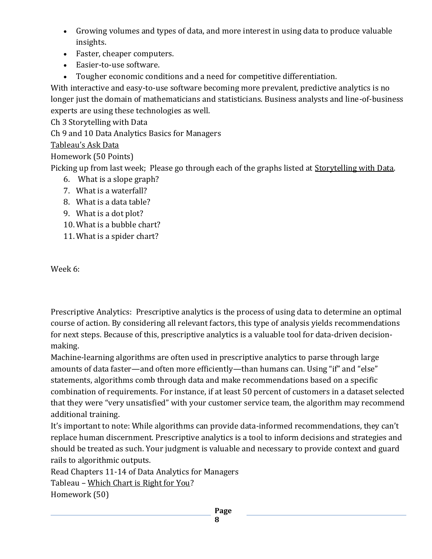- Growing volumes and types of data, and more interest in using data to produce valuable insights.
- Faster, cheaper computers.
- Easier-to-use software.
- Tougher economic conditions and a need for competitive differentiation.

With interactive and easy-to-use software becoming more prevalent, predictive analytics is no longer just the domain of mathematicians and statisticians. Business analysts and line-of-business experts are using these technologies as well.

Ch 3 Storytelling with Data

Ch 9 and 10 Data Analytics Basics for Managers

## [Tableau's Ask Data](https://help.tableau.com/current/pro/desktop/en-us/ask_data.htm)

Homework (50 Points)

Picking up from last week; Please go through each of the graphs listed at [Storytelling with Data.](https://www.storytellingwithdata.com/chart-guide)

- 6. What is a slope graph?
- 7. What is a waterfall?
- 8. What is a data table?
- 9. What is a dot plot?
- 10. What is a bubble chart?
- 11. What is a spider chart?

Week 6:

Prescriptive Analytics: Prescriptive analytics is the process of using data to determine an optimal course of action. By considering all relevant factors, this type of analysis yields recommendations for next steps. Because of this, prescriptive analytics is a valuable tool for data-driven decisionmaking.

Machine-learning algorithms are often used in prescriptive analytics to parse through large amounts of data faster—and often more efficiently—than humans can. Using "if" and "else" statements, algorithms comb through data and make recommendations based on a specific combination of requirements. For instance, if at least 50 percent of customers in a dataset selected that they were "very unsatisfied" with your customer service team, the algorithm may recommend additional training.

It's important to note: While algorithms can provide data-informed recommendations, they can't replace human discernment. Prescriptive analytics is a tool to inform decisions and strategies and should be treated as such. Your judgment is valuable and necessary to provide context and guard rails to algorithmic outputs.

Read Chapters 11-14 of Data Analytics for Managers

Tableau – [Which Chart is Right for You?](https://www.tableau.com/sites/default/files/whitepapers/which_chart_or_graph_is_right_for_youwp_1.pdf)

Homework (50)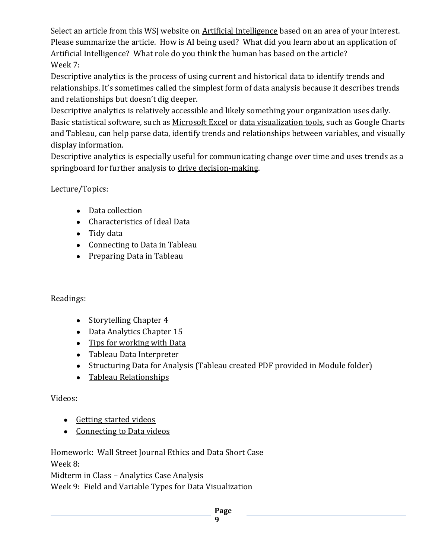Select an article from this WSJ website on [Artificial Intelligence](https://www.wsj.com/pro/artificial-intelligence) based on an area of your interest. Please summarize the article. How is AI being used? What did you learn about an application of Artificial Intelligence? What role do you think the human has based on the article? Week 7:

Descriptive analytics is the process of using current and historical data to identify trends and relationships. It's sometimes called the simplest form of data analysis because it describes trends and relationships but doesn't dig deeper.

Descriptive analytics is relatively accessible and likely something your organization uses daily. Basic statistical software, such as [Microsoft Excel](https://online.hbs.edu/blog/post/data-visualizations-in-excel) or [data visualization tools,](https://online.hbs.edu/blog/post/data-visualization-tools) such as Google Charts and Tableau, can help parse data, identify trends and relationships between variables, and visually display information.

Descriptive analytics is especially useful for communicating change over time and uses trends as a springboard for further analysis to [drive decision-making.](https://online.hbs.edu/blog/post/data-driven-decision-making)

Lecture/Topics:

- Data collection
- Characteristics of Ideal Data
- Tidy data
- Connecting to Data in Tableau
- Preparing Data in Tableau

## Readings:

- Storytelling Chapter 4
- Data Analytics Chapter 15
- [Tips for working with Data](https://help.tableau.com/current/pro/desktop/en-us/data_tips.htm)
- [Tableau Data Interpreter](https://help.tableau.com/current/pro/desktop/en-us/data_interpreter.htm)
- Structuring Data for Analysis (Tableau created PDF provided in Module folder)
- [Tableau Relationships](https://help.tableau.com/current/pro/desktop/en-us/relate_tables.htm)

# Videos:

- [Getting started videos](https://www.tableau.com/learn/training)
- [Connecting to Data videos](https://www.tableau.com/learn/tutorials/on-demand/data-prep-text-and-excel-files?product=tableau_desktop&version=tableau_desktop_2019_2&topic=connecting_data)

Homework: Wall Street Journal Ethics and Data Short Case Week 8:

Midterm in Class – Analytics Case Analysis

Week 9: Field and Variable Types for Data Visualization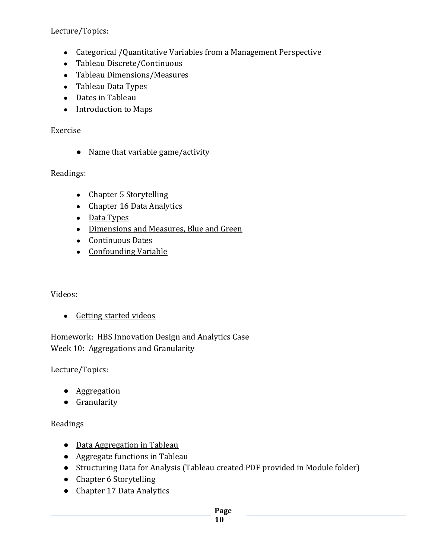Lecture/Topics:

- Categorical /Quantitative Variables from a Management Perspective
- Tableau Discrete/Continuous
- Tableau Dimensions/Measures
- Tableau Data Types
- Dates in Tableau
- Introduction to Maps

### Exercise

● Name that variable game/activity

## Readings:

- Chapter 5 Storytelling
- Chapter 16 Data Analytics
- [Data Types](https://help.tableau.com/current/pro/desktop/en-us/datafields_typesandroles_datatypes.htm)
- [Dimensions and Measures, Blue and Green](https://help.tableau.com/current/pro/desktop/en-us/datafields_typesandroles.htm)
- [Continuous Dates](https://help.tableau.com/current/pro/desktop/en-us/dates_continuous.htm)
- [Confounding Variable](https://www.icpsr.umich.edu/web/pages/instructors/setups2016/exercises/notes/confounding-variable.html)

## Videos:

• [Getting started videos](https://www.tableau.com/learn/training)

Homework: HBS Innovation Design and Analytics Case Week 10: Aggregations and Granularity

Lecture/Topics:

- Aggregation
- Granularity

## Readings

- [Data Aggregation in Tableau](https://help.tableau.com/current/pro/desktop/en-us/calculations_aggregation.htm)
- [Aggregate functions in Tableau](https://help.tableau.com/current/pro/desktop/en-us/calculations_calculatedfields_aggregate_create.htm)
- Structuring Data for Analysis (Tableau created PDF provided in Module folder)
- Chapter 6 Storytelling
- Chapter 17 Data Analytics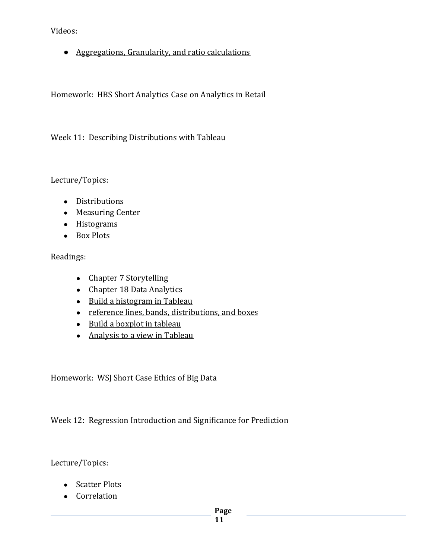Videos:

● [Aggregations, Granularity, and ratio calculations](https://www.tableau.com/learn/tutorials/on-demand/aggregation-granularity-and-ratio-calculations?_ga=2.132654150.956825342.1577485021-123116840.1560793840)

Homework: HBS Short Analytics Case on Analytics in Retail

Week 11: Describing Distributions with Tableau

Lecture/Topics:

- Distributions
- Measuring Center
- Histograms
- Box Plots

Readings:

- Chapter 7 Storytelling
- Chapter 18 Data Analytics
- [Build a histogram in Tableau](https://help.tableau.com/current/pro/desktop/en-us/buildexamples_histogram.htm)
- [reference lines, bands, distributions, and boxes](https://help.tableau.com/current/pro/desktop/en-us/reference_lines.htm)
- [Build a boxplot in tableau](https://help.tableau.com/current/pro/desktop/en-us/buildexamples_boxplot.htm)
- [Analysis to a view](https://help.tableau.com/current/pro/desktop/en-us/environ_workspace_analytics_pane.htm) in Tableau

Homework: WSJ Short Case Ethics of Big Data

Week 12: Regression Introduction and Significance for Prediction

Lecture/Topics:

- Scatter Plots
- Correlation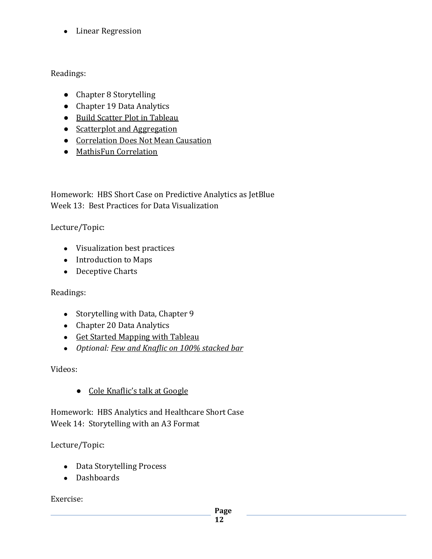● Linear Regression

Readings:

- Chapter 8 Storytelling
- Chapter 19 Data Analytics
- [Build Scatter Plot in Tableau](https://help.tableau.com/current/pro/desktop/en-us/buildexamples_scatter.htm)
- [Scatterplot and Aggregation](https://help.tableau.com/current/pro/desktop/en-us/calculations_aggregation.htm#ExampleScatter)
- [Correlation Does Not Mean Causation](https://towardsdatascience.com/why-correlation-does-not-imply-causation-5b99790df07e)
- [MathisFun Correlation](https://www.mathsisfun.com/data/correlation.html)

Homework: HBS Short Case on Predictive Analytics as JetBlue Week 13: Best Practices for Data Visualization

Lecture/Topic:

- Visualization best practices
- Introduction to Maps
- Deceptive Charts

Readings:

- Storytelling with Data, Chapter 9
- Chapter 20 Data Analytics
- [Get Started Mapping with Tableau](https://help.tableau.com/current/pro/desktop/en-us/buildexamples_maps.htm)
- *Optional: [Few and Knaflic on 100% stacked bar](https://www.perceptualedge.com/blog/?p=2239)*

Videos:

● [Cole Knaflic's talk at Google](https://www.youtube.com/watch?v=8EMW7io4rSI)

Homework: HBS Analytics and Healthcare Short Case Week 14: Storytelling with an A3 Format

Lecture/Topic:

- Data Storytelling Process
- Dashboards

Exercise: